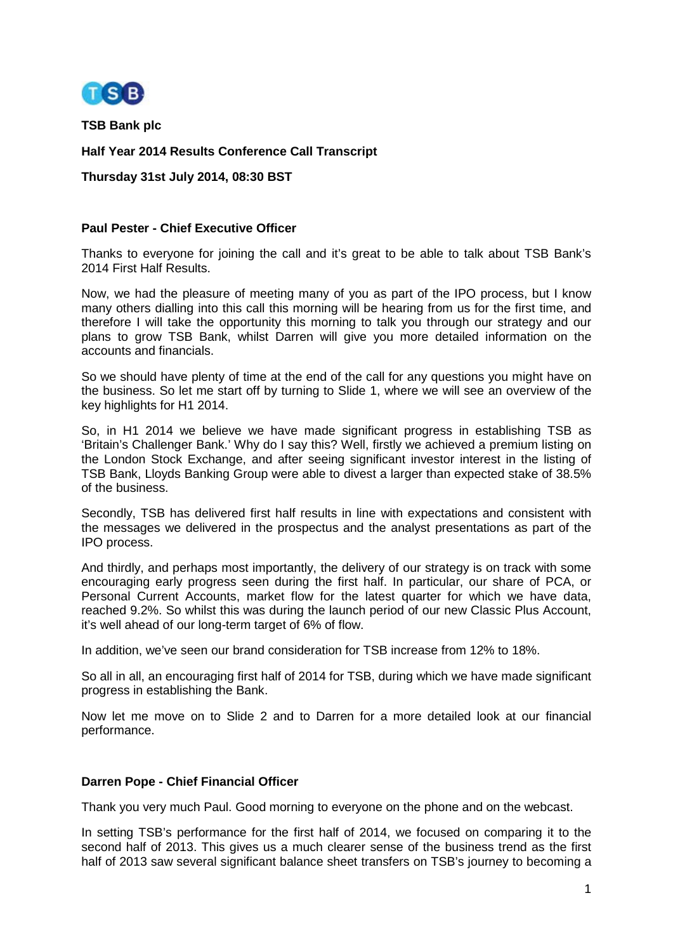

**TSB Bank plc**

**Half Year 2014 Results Conference Call Transcript**

**Thursday 31st July 2014, 08:30 BST**

#### **Paul Pester - Chief Executive Officer**

Thanks to everyone for joining the call and it's great to be able to talk about TSB Bank's 2014 First Half Results.

Now, we had the pleasure of meeting many of you as part of the IPO process, but I know many others dialling into this call this morning will be hearing from us for the first time, and therefore I will take the opportunity this morning to talk you through our strategy and our plans to grow TSB Bank, whilst Darren will give you more detailed information on the accounts and financials.

So we should have plenty of time at the end of the call for any questions you might have on the business. So let me start off by turning to Slide 1, where we will see an overview of the key highlights for H1 2014.

So, in H1 2014 we believe we have made significant progress in establishing TSB as 'Britain's Challenger Bank.' Why do I say this? Well, firstly we achieved a premium listing on the London Stock Exchange, and after seeing significant investor interest in the listing of TSB Bank, Lloyds Banking Group were able to divest a larger than expected stake of 38.5% of the business.

Secondly, TSB has delivered first half results in line with expectations and consistent with the messages we delivered in the prospectus and the analyst presentations as part of the IPO process.

And thirdly, and perhaps most importantly, the delivery of our strategy is on track with some encouraging early progress seen during the first half. In particular, our share of PCA, or Personal Current Accounts, market flow for the latest quarter for which we have data, reached 9.2%. So whilst this was during the launch period of our new Classic Plus Account, it's well ahead of our long-term target of 6% of flow.

In addition, we've seen our brand consideration for TSB increase from 12% to 18%.

So all in all, an encouraging first half of 2014 for TSB, during which we have made significant progress in establishing the Bank.

Now let me move on to Slide 2 and to Darren for a more detailed look at our financial performance.

#### **Darren Pope - Chief Financial Officer**

Thank you very much Paul. Good morning to everyone on the phone and on the webcast.

In setting TSB's performance for the first half of 2014, we focused on comparing it to the second half of 2013. This gives us a much clearer sense of the business trend as the first half of 2013 saw several significant balance sheet transfers on TSB's journey to becoming a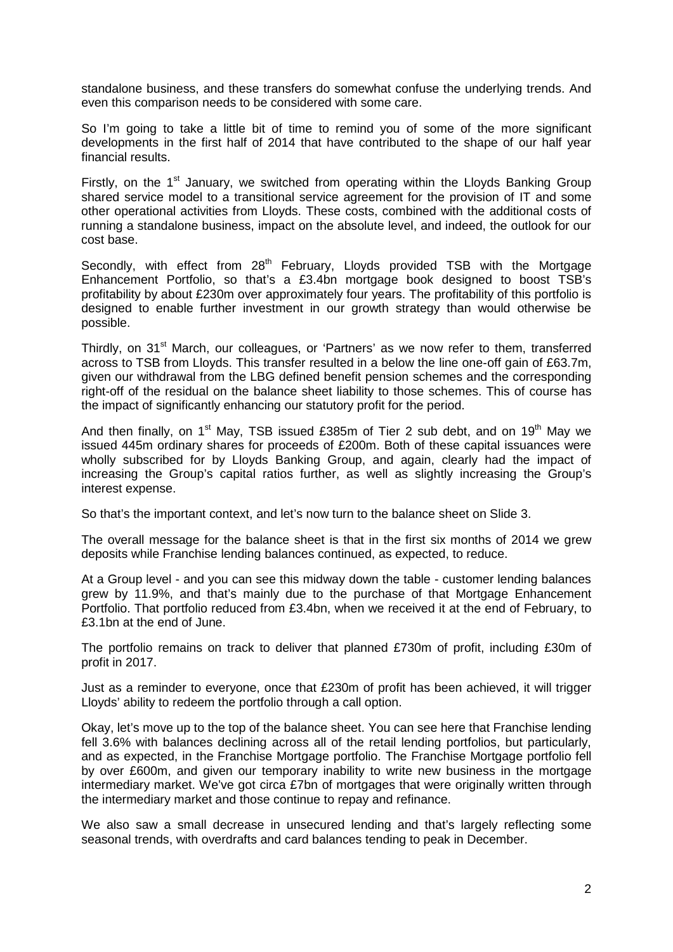standalone business, and these transfers do somewhat confuse the underlying trends. And even this comparison needs to be considered with some care.

So I'm going to take a little bit of time to remind you of some of the more significant developments in the first half of 2014 that have contributed to the shape of our half year financial results.

Firstly, on the  $1<sup>st</sup>$  January, we switched from operating within the Lloyds Banking Group shared service model to a transitional service agreement for the provision of IT and some other operational activities from Lloyds. These costs, combined with the additional costs of running a standalone business, impact on the absolute level, and indeed, the outlook for our cost base.

Secondly, with effect from 28<sup>th</sup> February, Lloyds provided TSB with the Mortgage Enhancement Portfolio, so that's a £3.4bn mortgage book designed to boost TSB's profitability by about £230m over approximately four years. The profitability of this portfolio is designed to enable further investment in our growth strategy than would otherwise be possible.

Thirdly, on 31<sup>st</sup> March, our colleagues, or 'Partners' as we now refer to them, transferred across to TSB from Lloyds. This transfer resulted in a below the line one-off gain of £63.7m, given our withdrawal from the LBG defined benefit pension schemes and the corresponding right-off of the residual on the balance sheet liability to those schemes. This of course has the impact of significantly enhancing our statutory profit for the period.

And then finally, on  $1<sup>st</sup>$  May, TSB issued £385m of Tier 2 sub debt, and on  $19<sup>th</sup>$  May we issued 445m ordinary shares for proceeds of £200m. Both of these capital issuances were wholly subscribed for by Lloyds Banking Group, and again, clearly had the impact of increasing the Group's capital ratios further, as well as slightly increasing the Group's interest expense.

So that's the important context, and let's now turn to the balance sheet on Slide 3.

The overall message for the balance sheet is that in the first six months of 2014 we grew deposits while Franchise lending balances continued, as expected, to reduce.

At a Group level - and you can see this midway down the table - customer lending balances grew by 11.9%, and that's mainly due to the purchase of that Mortgage Enhancement Portfolio. That portfolio reduced from £3.4bn, when we received it at the end of February, to £3.1bn at the end of June.

The portfolio remains on track to deliver that planned £730m of profit, including £30m of profit in 2017.

Just as a reminder to everyone, once that £230m of profit has been achieved, it will trigger Lloyds' ability to redeem the portfolio through a call option.

Okay, let's move up to the top of the balance sheet. You can see here that Franchise lending fell 3.6% with balances declining across all of the retail lending portfolios, but particularly, and as expected, in the Franchise Mortgage portfolio. The Franchise Mortgage portfolio fell by over £600m, and given our temporary inability to write new business in the mortgage intermediary market. We've got circa £7bn of mortgages that were originally written through the intermediary market and those continue to repay and refinance.

We also saw a small decrease in unsecured lending and that's largely reflecting some seasonal trends, with overdrafts and card balances tending to peak in December.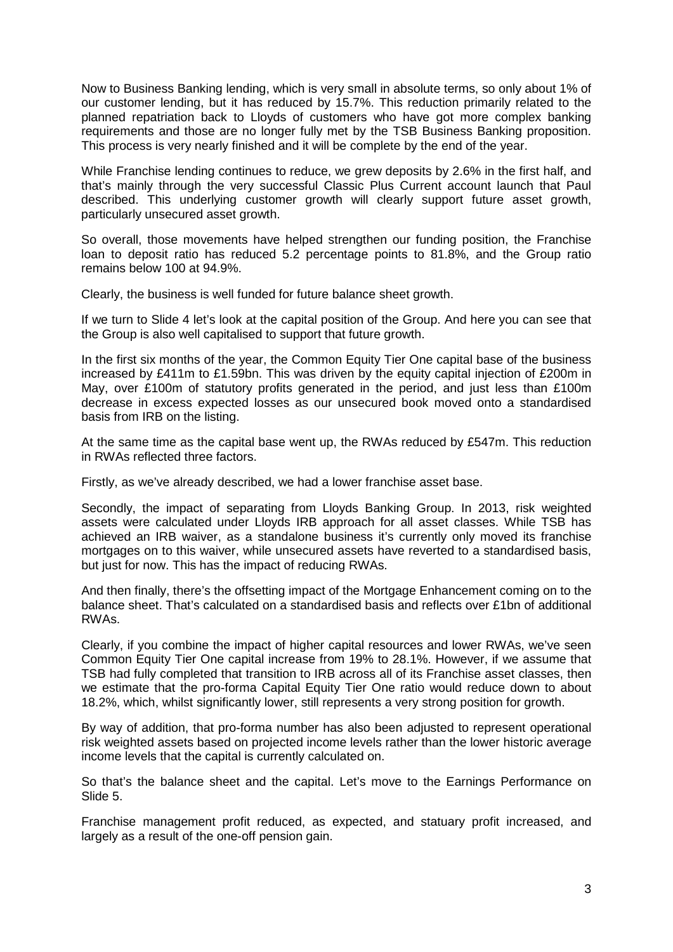Now to Business Banking lending, which is very small in absolute terms, so only about 1% of our customer lending, but it has reduced by 15.7%. This reduction primarily related to the planned repatriation back to Lloyds of customers who have got more complex banking requirements and those are no longer fully met by the TSB Business Banking proposition. This process is very nearly finished and it will be complete by the end of the year.

While Franchise lending continues to reduce, we grew deposits by 2.6% in the first half, and that's mainly through the very successful Classic Plus Current account launch that Paul described. This underlying customer growth will clearly support future asset growth, particularly unsecured asset growth.

So overall, those movements have helped strengthen our funding position, the Franchise loan to deposit ratio has reduced 5.2 percentage points to 81.8%, and the Group ratio remains below 100 at 94.9%.

Clearly, the business is well funded for future balance sheet growth.

If we turn to Slide 4 let's look at the capital position of the Group. And here you can see that the Group is also well capitalised to support that future growth.

In the first six months of the year, the Common Equity Tier One capital base of the business increased by £411m to £1.59bn. This was driven by the equity capital injection of £200m in May, over £100m of statutory profits generated in the period, and just less than £100m decrease in excess expected losses as our unsecured book moved onto a standardised basis from IRB on the listing.

At the same time as the capital base went up, the RWAs reduced by £547m. This reduction in RWAs reflected three factors.

Firstly, as we've already described, we had a lower franchise asset base.

Secondly, the impact of separating from Lloyds Banking Group. In 2013, risk weighted assets were calculated under Lloyds IRB approach for all asset classes. While TSB has achieved an IRB waiver, as a standalone business it's currently only moved its franchise mortgages on to this waiver, while unsecured assets have reverted to a standardised basis, but just for now. This has the impact of reducing RWAs.

And then finally, there's the offsetting impact of the Mortgage Enhancement coming on to the balance sheet. That's calculated on a standardised basis and reflects over £1bn of additional RWAs.

Clearly, if you combine the impact of higher capital resources and lower RWAs, we've seen Common Equity Tier One capital increase from 19% to 28.1%. However, if we assume that TSB had fully completed that transition to IRB across all of its Franchise asset classes, then we estimate that the pro-forma Capital Equity Tier One ratio would reduce down to about 18.2%, which, whilst significantly lower, still represents a very strong position for growth.

By way of addition, that pro-forma number has also been adjusted to represent operational risk weighted assets based on projected income levels rather than the lower historic average income levels that the capital is currently calculated on.

So that's the balance sheet and the capital. Let's move to the Earnings Performance on Slide 5.

Franchise management profit reduced, as expected, and statuary profit increased, and largely as a result of the one-off pension gain.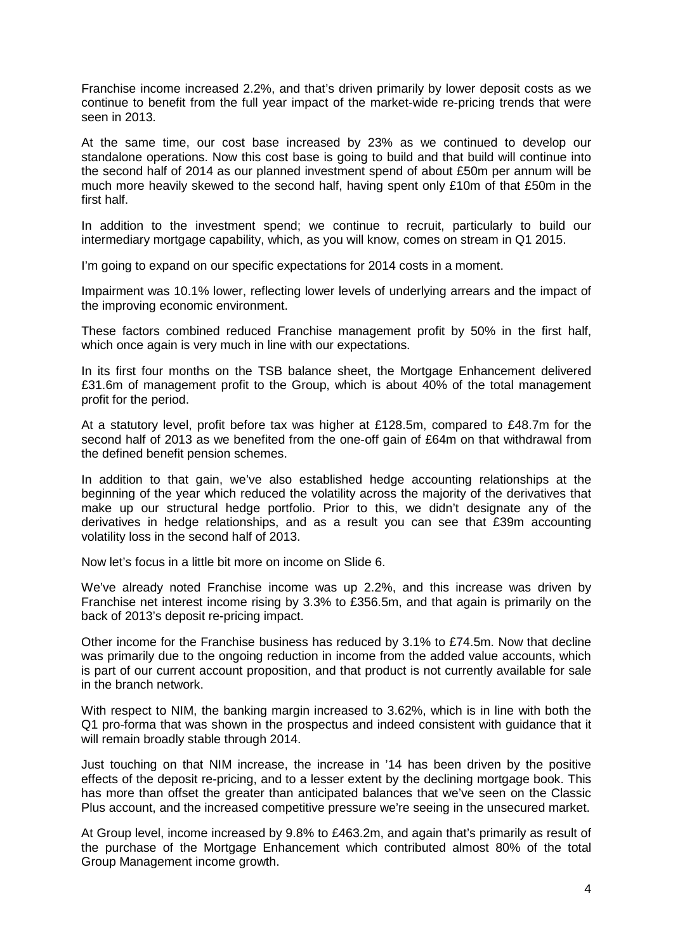Franchise income increased 2.2%, and that's driven primarily by lower deposit costs as we continue to benefit from the full year impact of the market-wide re-pricing trends that were seen in 2013.

At the same time, our cost base increased by 23% as we continued to develop our standalone operations. Now this cost base is going to build and that build will continue into the second half of 2014 as our planned investment spend of about £50m per annum will be much more heavily skewed to the second half, having spent only £10m of that £50m in the first half.

In addition to the investment spend; we continue to recruit, particularly to build our intermediary mortgage capability, which, as you will know, comes on stream in Q1 2015.

I'm going to expand on our specific expectations for 2014 costs in a moment.

Impairment was 10.1% lower, reflecting lower levels of underlying arrears and the impact of the improving economic environment.

These factors combined reduced Franchise management profit by 50% in the first half, which once again is very much in line with our expectations.

In its first four months on the TSB balance sheet, the Mortgage Enhancement delivered £31.6m of management profit to the Group, which is about 40% of the total management profit for the period.

At a statutory level, profit before tax was higher at £128.5m, compared to £48.7m for the second half of 2013 as we benefited from the one-off gain of £64m on that withdrawal from the defined benefit pension schemes.

In addition to that gain, we've also established hedge accounting relationships at the beginning of the year which reduced the volatility across the majority of the derivatives that make up our structural hedge portfolio. Prior to this, we didn't designate any of the derivatives in hedge relationships, and as a result you can see that £39m accounting volatility loss in the second half of 2013.

Now let's focus in a little bit more on income on Slide 6.

We've already noted Franchise income was up 2.2%, and this increase was driven by Franchise net interest income rising by 3.3% to £356.5m, and that again is primarily on the back of 2013's deposit re-pricing impact.

Other income for the Franchise business has reduced by 3.1% to £74.5m. Now that decline was primarily due to the ongoing reduction in income from the added value accounts, which is part of our current account proposition, and that product is not currently available for sale in the branch network.

With respect to NIM, the banking margin increased to 3.62%, which is in line with both the Q1 pro-forma that was shown in the prospectus and indeed consistent with guidance that it will remain broadly stable through 2014.

Just touching on that NIM increase, the increase in '14 has been driven by the positive effects of the deposit re-pricing, and to a lesser extent by the declining mortgage book. This has more than offset the greater than anticipated balances that we've seen on the Classic Plus account, and the increased competitive pressure we're seeing in the unsecured market.

At Group level, income increased by 9.8% to £463.2m, and again that's primarily as result of the purchase of the Mortgage Enhancement which contributed almost 80% of the total Group Management income growth.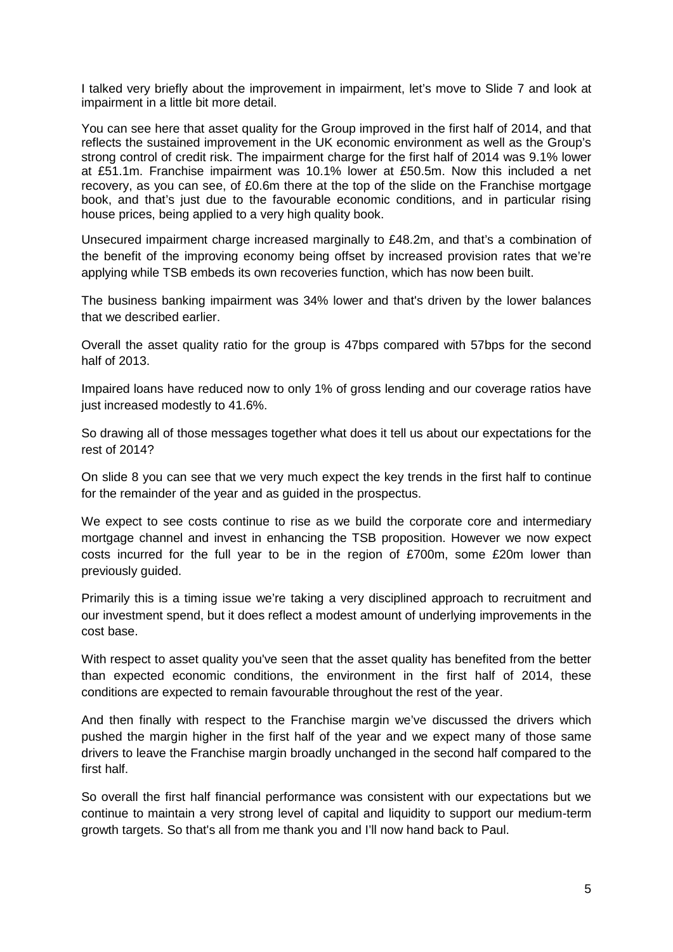I talked very briefly about the improvement in impairment, let's move to Slide 7 and look at impairment in a little bit more detail.

You can see here that asset quality for the Group improved in the first half of 2014, and that reflects the sustained improvement in the UK economic environment as well as the Group's strong control of credit risk. The impairment charge for the first half of 2014 was 9.1% lower at £51.1m. Franchise impairment was 10.1% lower at £50.5m. Now this included a net recovery, as you can see, of £0.6m there at the top of the slide on the Franchise mortgage book, and that's just due to the favourable economic conditions, and in particular rising house prices, being applied to a very high quality book.

Unsecured impairment charge increased marginally to £48.2m, and that's a combination of the benefit of the improving economy being offset by increased provision rates that we're applying while TSB embeds its own recoveries function, which has now been built.

The business banking impairment was 34% lower and that's driven by the lower balances that we described earlier.

Overall the asset quality ratio for the group is 47bps compared with 57bps for the second half of 2013.

Impaired loans have reduced now to only 1% of gross lending and our coverage ratios have just increased modestly to 41.6%.

So drawing all of those messages together what does it tell us about our expectations for the rest of 2014?

On slide 8 you can see that we very much expect the key trends in the first half to continue for the remainder of the year and as guided in the prospectus.

We expect to see costs continue to rise as we build the corporate core and intermediary mortgage channel and invest in enhancing the TSB proposition. However we now expect costs incurred for the full year to be in the region of £700m, some £20m lower than previously guided.

Primarily this is a timing issue we're taking a very disciplined approach to recruitment and our investment spend, but it does reflect a modest amount of underlying improvements in the cost base.

With respect to asset quality you've seen that the asset quality has benefited from the better than expected economic conditions, the environment in the first half of 2014, these conditions are expected to remain favourable throughout the rest of the year.

And then finally with respect to the Franchise margin we've discussed the drivers which pushed the margin higher in the first half of the year and we expect many of those same drivers to leave the Franchise margin broadly unchanged in the second half compared to the first half.

So overall the first half financial performance was consistent with our expectations but we continue to maintain a very strong level of capital and liquidity to support our medium-term growth targets. So that's all from me thank you and I'll now hand back to Paul.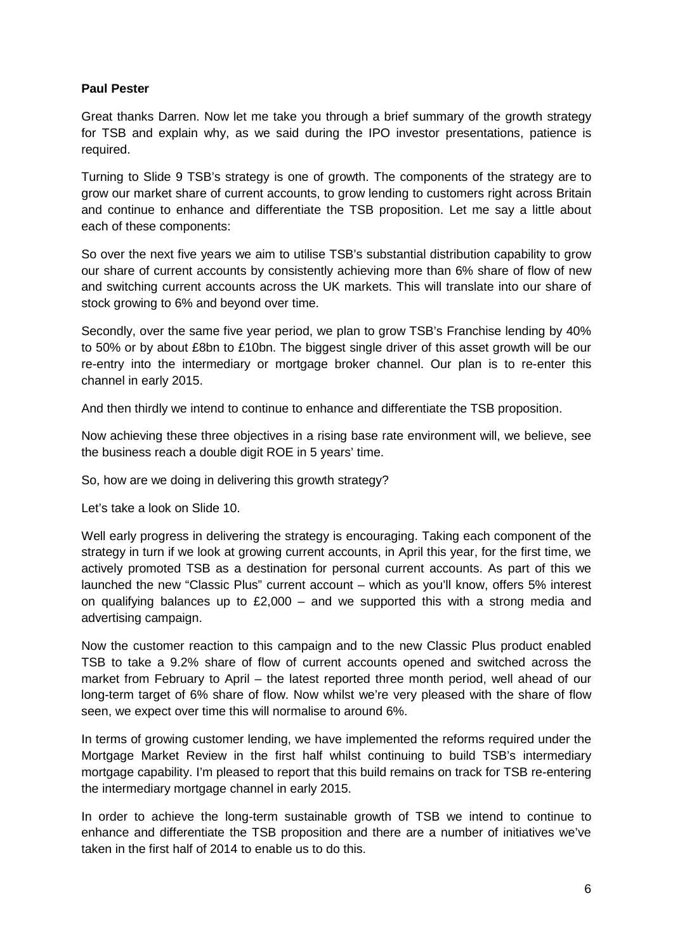## **Paul Pester**

Great thanks Darren. Now let me take you through a brief summary of the growth strategy for TSB and explain why, as we said during the IPO investor presentations, patience is required.

Turning to Slide 9 TSB's strategy is one of growth. The components of the strategy are to grow our market share of current accounts, to grow lending to customers right across Britain and continue to enhance and differentiate the TSB proposition. Let me say a little about each of these components:

So over the next five years we aim to utilise TSB's substantial distribution capability to grow our share of current accounts by consistently achieving more than 6% share of flow of new and switching current accounts across the UK markets. This will translate into our share of stock growing to 6% and beyond over time.

Secondly, over the same five year period, we plan to grow TSB's Franchise lending by 40% to 50% or by about £8bn to £10bn. The biggest single driver of this asset growth will be our re-entry into the intermediary or mortgage broker channel. Our plan is to re-enter this channel in early 2015.

And then thirdly we intend to continue to enhance and differentiate the TSB proposition.

Now achieving these three objectives in a rising base rate environment will, we believe, see the business reach a double digit ROE in 5 years' time.

So, how are we doing in delivering this growth strategy?

Let's take a look on Slide 10.

Well early progress in delivering the strategy is encouraging. Taking each component of the strategy in turn if we look at growing current accounts, in April this year, for the first time, we actively promoted TSB as a destination for personal current accounts. As part of this we launched the new "Classic Plus" current account – which as you'll know, offers 5% interest on qualifying balances up to £2,000 – and we supported this with a strong media and advertising campaign.

Now the customer reaction to this campaign and to the new Classic Plus product enabled TSB to take a 9.2% share of flow of current accounts opened and switched across the market from February to April – the latest reported three month period, well ahead of our long-term target of 6% share of flow. Now whilst we're very pleased with the share of flow seen, we expect over time this will normalise to around 6%.

In terms of growing customer lending, we have implemented the reforms required under the Mortgage Market Review in the first half whilst continuing to build TSB's intermediary mortgage capability. I'm pleased to report that this build remains on track for TSB re-entering the intermediary mortgage channel in early 2015.

In order to achieve the long-term sustainable growth of TSB we intend to continue to enhance and differentiate the TSB proposition and there are a number of initiatives we've taken in the first half of 2014 to enable us to do this.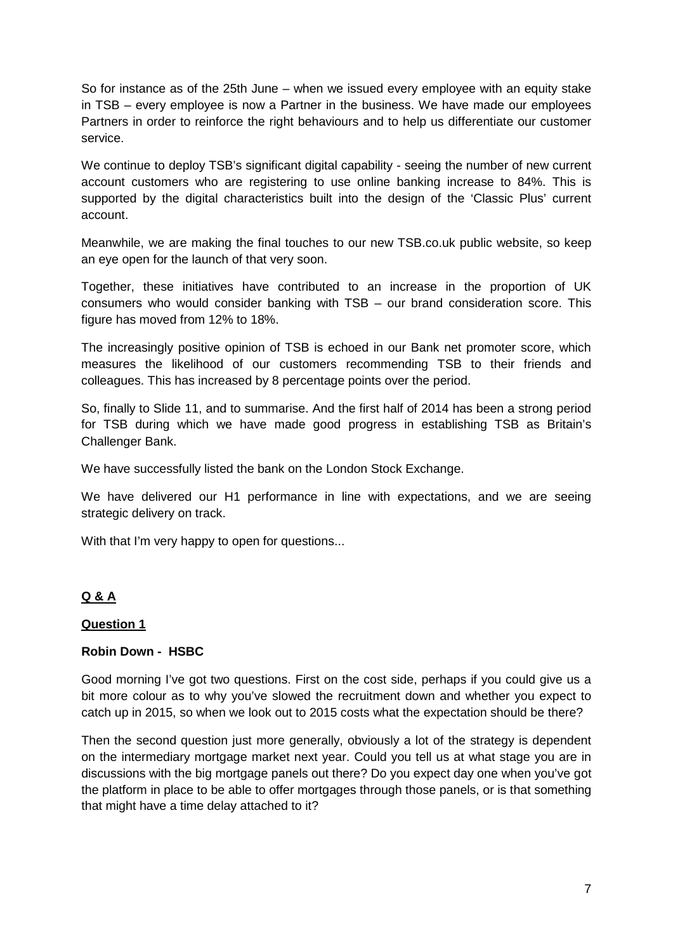So for instance as of the 25th June – when we issued every employee with an equity stake in TSB – every employee is now a Partner in the business. We have made our employees Partners in order to reinforce the right behaviours and to help us differentiate our customer service.

We continue to deploy TSB's significant digital capability - seeing the number of new current account customers who are registering to use online banking increase to 84%. This is supported by the digital characteristics built into the design of the 'Classic Plus' current account.

Meanwhile, we are making the final touches to our new TSB.co.uk public website, so keep an eye open for the launch of that very soon.

Together, these initiatives have contributed to an increase in the proportion of UK consumers who would consider banking with TSB – our brand consideration score. This figure has moved from 12% to 18%.

The increasingly positive opinion of TSB is echoed in our Bank net promoter score, which measures the likelihood of our customers recommending TSB to their friends and colleagues. This has increased by 8 percentage points over the period.

So, finally to Slide 11, and to summarise. And the first half of 2014 has been a strong period for TSB during which we have made good progress in establishing TSB as Britain's Challenger Bank.

We have successfully listed the bank on the London Stock Exchange.

We have delivered our H1 performance in line with expectations, and we are seeing strategic delivery on track.

With that I'm very happy to open for questions...

# **Q & A**

#### **Question 1**

#### **Robin Down - HSBC**

Good morning I've got two questions. First on the cost side, perhaps if you could give us a bit more colour as to why you've slowed the recruitment down and whether you expect to catch up in 2015, so when we look out to 2015 costs what the expectation should be there?

Then the second question just more generally, obviously a lot of the strategy is dependent on the intermediary mortgage market next year. Could you tell us at what stage you are in discussions with the big mortgage panels out there? Do you expect day one when you've got the platform in place to be able to offer mortgages through those panels, or is that something that might have a time delay attached to it?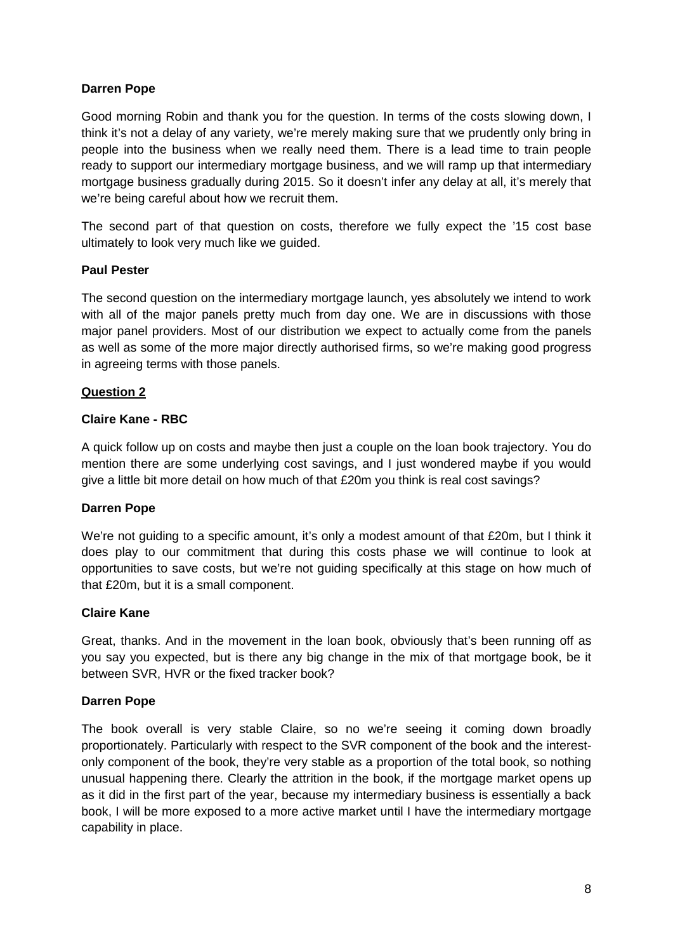# **Darren Pope**

Good morning Robin and thank you for the question. In terms of the costs slowing down, I think it's not a delay of any variety, we're merely making sure that we prudently only bring in people into the business when we really need them. There is a lead time to train people ready to support our intermediary mortgage business, and we will ramp up that intermediary mortgage business gradually during 2015. So it doesn't infer any delay at all, it's merely that we're being careful about how we recruit them.

The second part of that question on costs, therefore we fully expect the '15 cost base ultimately to look very much like we guided.

#### **Paul Pester**

The second question on the intermediary mortgage launch, yes absolutely we intend to work with all of the major panels pretty much from day one. We are in discussions with those major panel providers. Most of our distribution we expect to actually come from the panels as well as some of the more major directly authorised firms, so we're making good progress in agreeing terms with those panels.

#### **Question 2**

## **Claire Kane - RBC**

A quick follow up on costs and maybe then just a couple on the loan book trajectory. You do mention there are some underlying cost savings, and I just wondered maybe if you would give a little bit more detail on how much of that £20m you think is real cost savings?

#### **Darren Pope**

We're not guiding to a specific amount, it's only a modest amount of that £20m, but I think it does play to our commitment that during this costs phase we will continue to look at opportunities to save costs, but we're not guiding specifically at this stage on how much of that £20m, but it is a small component.

#### **Claire Kane**

Great, thanks. And in the movement in the loan book, obviously that's been running off as you say you expected, but is there any big change in the mix of that mortgage book, be it between SVR, HVR or the fixed tracker book?

#### **Darren Pope**

The book overall is very stable Claire, so no we're seeing it coming down broadly proportionately. Particularly with respect to the SVR component of the book and the interestonly component of the book, they're very stable as a proportion of the total book, so nothing unusual happening there. Clearly the attrition in the book, if the mortgage market opens up as it did in the first part of the year, because my intermediary business is essentially a back book, I will be more exposed to a more active market until I have the intermediary mortgage capability in place.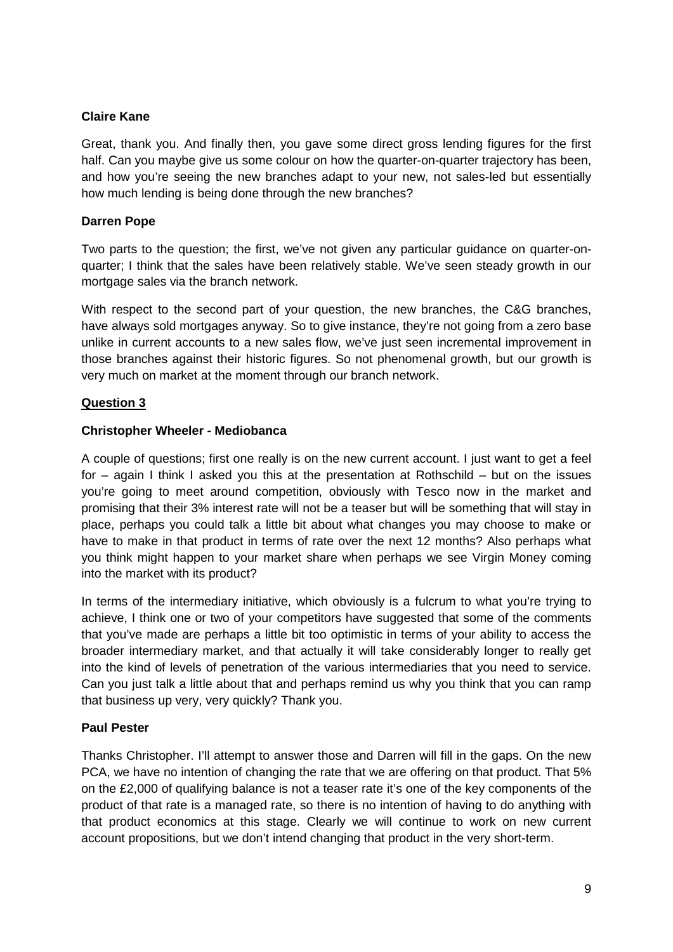## **Claire Kane**

Great, thank you. And finally then, you gave some direct gross lending figures for the first half. Can you maybe give us some colour on how the quarter-on-quarter trajectory has been, and how you're seeing the new branches adapt to your new, not sales-led but essentially how much lending is being done through the new branches?

## **Darren Pope**

Two parts to the question; the first, we've not given any particular guidance on quarter-onquarter; I think that the sales have been relatively stable. We've seen steady growth in our mortgage sales via the branch network.

With respect to the second part of your question, the new branches, the C&G branches, have always sold mortgages anyway. So to give instance, they're not going from a zero base unlike in current accounts to a new sales flow, we've just seen incremental improvement in those branches against their historic figures. So not phenomenal growth, but our growth is very much on market at the moment through our branch network.

## **Question 3**

## **Christopher Wheeler - Mediobanca**

A couple of questions; first one really is on the new current account. I just want to get a feel for – again I think I asked you this at the presentation at Rothschild – but on the issues you're going to meet around competition, obviously with Tesco now in the market and promising that their 3% interest rate will not be a teaser but will be something that will stay in place, perhaps you could talk a little bit about what changes you may choose to make or have to make in that product in terms of rate over the next 12 months? Also perhaps what you think might happen to your market share when perhaps we see Virgin Money coming into the market with its product?

In terms of the intermediary initiative, which obviously is a fulcrum to what you're trying to achieve, I think one or two of your competitors have suggested that some of the comments that you've made are perhaps a little bit too optimistic in terms of your ability to access the broader intermediary market, and that actually it will take considerably longer to really get into the kind of levels of penetration of the various intermediaries that you need to service. Can you just talk a little about that and perhaps remind us why you think that you can ramp that business up very, very quickly? Thank you.

#### **Paul Pester**

Thanks Christopher. I'll attempt to answer those and Darren will fill in the gaps. On the new PCA, we have no intention of changing the rate that we are offering on that product. That 5% on the £2,000 of qualifying balance is not a teaser rate it's one of the key components of the product of that rate is a managed rate, so there is no intention of having to do anything with that product economics at this stage. Clearly we will continue to work on new current account propositions, but we don't intend changing that product in the very short-term.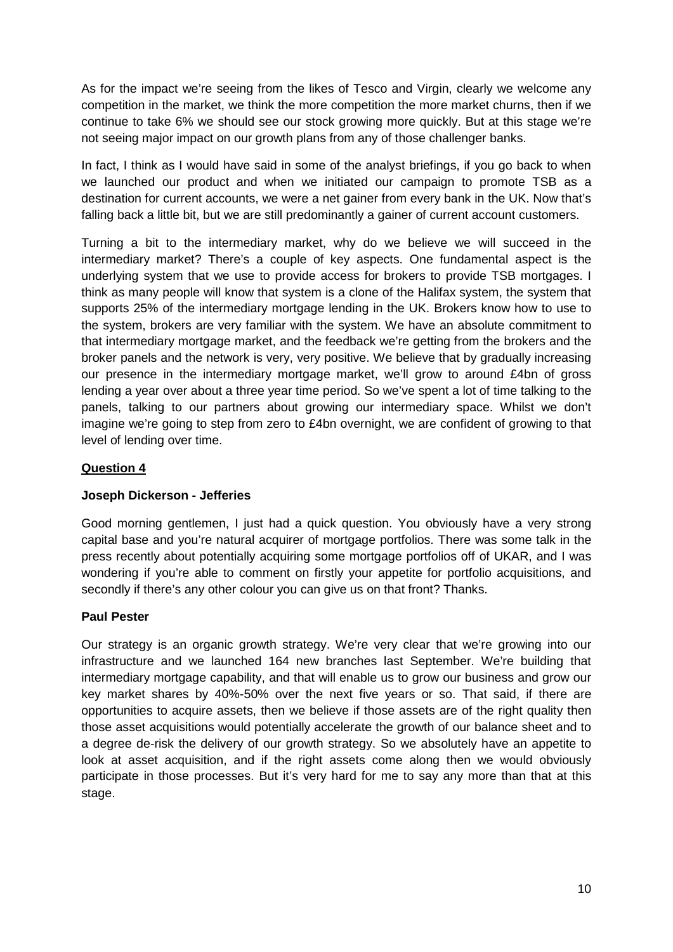As for the impact we're seeing from the likes of Tesco and Virgin, clearly we welcome any competition in the market, we think the more competition the more market churns, then if we continue to take 6% we should see our stock growing more quickly. But at this stage we're not seeing major impact on our growth plans from any of those challenger banks.

In fact, I think as I would have said in some of the analyst briefings, if you go back to when we launched our product and when we initiated our campaign to promote TSB as a destination for current accounts, we were a net gainer from every bank in the UK. Now that's falling back a little bit, but we are still predominantly a gainer of current account customers.

Turning a bit to the intermediary market, why do we believe we will succeed in the intermediary market? There's a couple of key aspects. One fundamental aspect is the underlying system that we use to provide access for brokers to provide TSB mortgages. I think as many people will know that system is a clone of the Halifax system, the system that supports 25% of the intermediary mortgage lending in the UK. Brokers know how to use to the system, brokers are very familiar with the system. We have an absolute commitment to that intermediary mortgage market, and the feedback we're getting from the brokers and the broker panels and the network is very, very positive. We believe that by gradually increasing our presence in the intermediary mortgage market, we'll grow to around £4bn of gross lending a year over about a three year time period. So we've spent a lot of time talking to the panels, talking to our partners about growing our intermediary space. Whilst we don't imagine we're going to step from zero to £4bn overnight, we are confident of growing to that level of lending over time.

# **Question 4**

#### **Joseph Dickerson - Jefferies**

Good morning gentlemen, I just had a quick question. You obviously have a very strong capital base and you're natural acquirer of mortgage portfolios. There was some talk in the press recently about potentially acquiring some mortgage portfolios off of UKAR, and I was wondering if you're able to comment on firstly your appetite for portfolio acquisitions, and secondly if there's any other colour you can give us on that front? Thanks.

#### **Paul Pester**

Our strategy is an organic growth strategy. We're very clear that we're growing into our infrastructure and we launched 164 new branches last September. We're building that intermediary mortgage capability, and that will enable us to grow our business and grow our key market shares by 40%-50% over the next five years or so. That said, if there are opportunities to acquire assets, then we believe if those assets are of the right quality then those asset acquisitions would potentially accelerate the growth of our balance sheet and to a degree de-risk the delivery of our growth strategy. So we absolutely have an appetite to look at asset acquisition, and if the right assets come along then we would obviously participate in those processes. But it's very hard for me to say any more than that at this stage.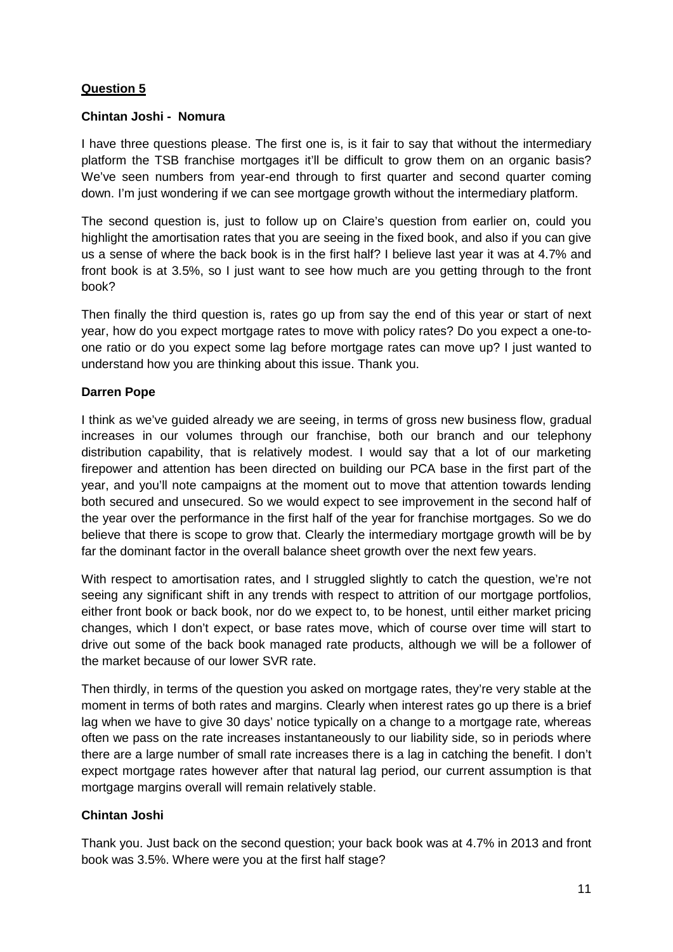# **Question 5**

## **Chintan Joshi - Nomura**

I have three questions please. The first one is, is it fair to say that without the intermediary platform the TSB franchise mortgages it'll be difficult to grow them on an organic basis? We've seen numbers from year-end through to first quarter and second quarter coming down. I'm just wondering if we can see mortgage growth without the intermediary platform.

The second question is, just to follow up on Claire's question from earlier on, could you highlight the amortisation rates that you are seeing in the fixed book, and also if you can give us a sense of where the back book is in the first half? I believe last year it was at 4.7% and front book is at 3.5%, so I just want to see how much are you getting through to the front book?

Then finally the third question is, rates go up from say the end of this year or start of next year, how do you expect mortgage rates to move with policy rates? Do you expect a one-toone ratio or do you expect some lag before mortgage rates can move up? I just wanted to understand how you are thinking about this issue. Thank you.

## **Darren Pope**

I think as we've guided already we are seeing, in terms of gross new business flow, gradual increases in our volumes through our franchise, both our branch and our telephony distribution capability, that is relatively modest. I would say that a lot of our marketing firepower and attention has been directed on building our PCA base in the first part of the year, and you'll note campaigns at the moment out to move that attention towards lending both secured and unsecured. So we would expect to see improvement in the second half of the year over the performance in the first half of the year for franchise mortgages. So we do believe that there is scope to grow that. Clearly the intermediary mortgage growth will be by far the dominant factor in the overall balance sheet growth over the next few years.

With respect to amortisation rates, and I struggled slightly to catch the question, we're not seeing any significant shift in any trends with respect to attrition of our mortgage portfolios, either front book or back book, nor do we expect to, to be honest, until either market pricing changes, which I don't expect, or base rates move, which of course over time will start to drive out some of the back book managed rate products, although we will be a follower of the market because of our lower SVR rate.

Then thirdly, in terms of the question you asked on mortgage rates, they're very stable at the moment in terms of both rates and margins. Clearly when interest rates go up there is a brief lag when we have to give 30 days' notice typically on a change to a mortgage rate, whereas often we pass on the rate increases instantaneously to our liability side, so in periods where there are a large number of small rate increases there is a lag in catching the benefit. I don't expect mortgage rates however after that natural lag period, our current assumption is that mortgage margins overall will remain relatively stable.

# **Chintan Joshi**

Thank you. Just back on the second question; your back book was at 4.7% in 2013 and front book was 3.5%. Where were you at the first half stage?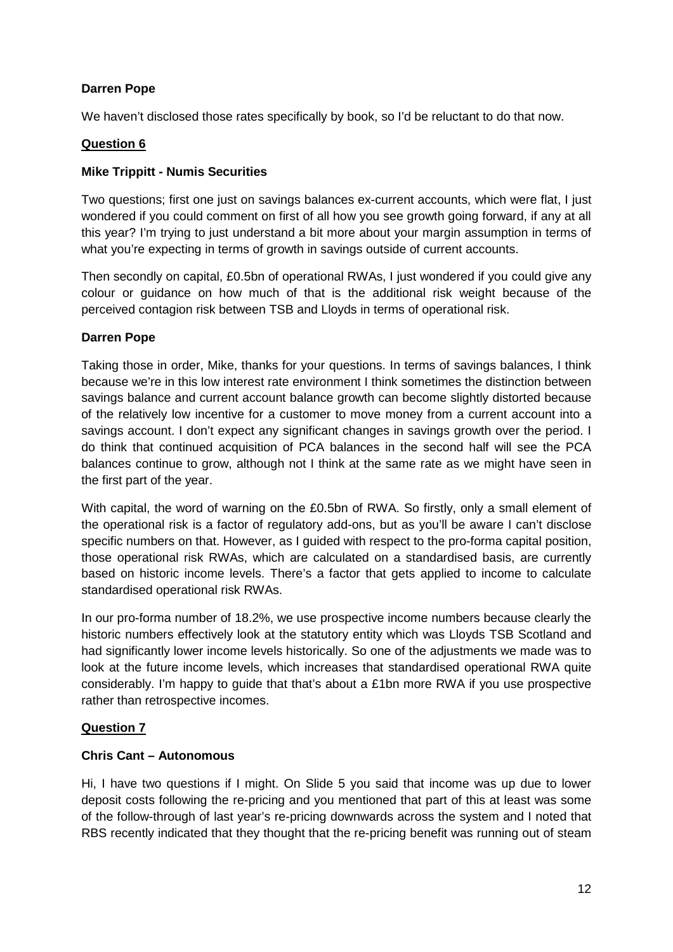# **Darren Pope**

We haven't disclosed those rates specifically by book, so I'd be reluctant to do that now.

## **Question 6**

## **Mike Trippitt - Numis Securities**

Two questions; first one just on savings balances ex-current accounts, which were flat, I just wondered if you could comment on first of all how you see growth going forward, if any at all this year? I'm trying to just understand a bit more about your margin assumption in terms of what you're expecting in terms of growth in savings outside of current accounts.

Then secondly on capital, £0.5bn of operational RWAs, I just wondered if you could give any colour or guidance on how much of that is the additional risk weight because of the perceived contagion risk between TSB and Lloyds in terms of operational risk.

## **Darren Pope**

Taking those in order, Mike, thanks for your questions. In terms of savings balances, I think because we're in this low interest rate environment I think sometimes the distinction between savings balance and current account balance growth can become slightly distorted because of the relatively low incentive for a customer to move money from a current account into a savings account. I don't expect any significant changes in savings growth over the period. I do think that continued acquisition of PCA balances in the second half will see the PCA balances continue to grow, although not I think at the same rate as we might have seen in the first part of the year.

With capital, the word of warning on the £0.5bn of RWA. So firstly, only a small element of the operational risk is a factor of regulatory add-ons, but as you'll be aware I can't disclose specific numbers on that. However, as I guided with respect to the pro-forma capital position, those operational risk RWAs, which are calculated on a standardised basis, are currently based on historic income levels. There's a factor that gets applied to income to calculate standardised operational risk RWAs.

In our pro-forma number of 18.2%, we use prospective income numbers because clearly the historic numbers effectively look at the statutory entity which was Lloyds TSB Scotland and had significantly lower income levels historically. So one of the adjustments we made was to look at the future income levels, which increases that standardised operational RWA quite considerably. I'm happy to guide that that's about a £1bn more RWA if you use prospective rather than retrospective incomes.

# **Question 7**

#### **Chris Cant – Autonomous**

Hi, I have two questions if I might. On Slide 5 you said that income was up due to lower deposit costs following the re-pricing and you mentioned that part of this at least was some of the follow-through of last year's re-pricing downwards across the system and I noted that RBS recently indicated that they thought that the re-pricing benefit was running out of steam